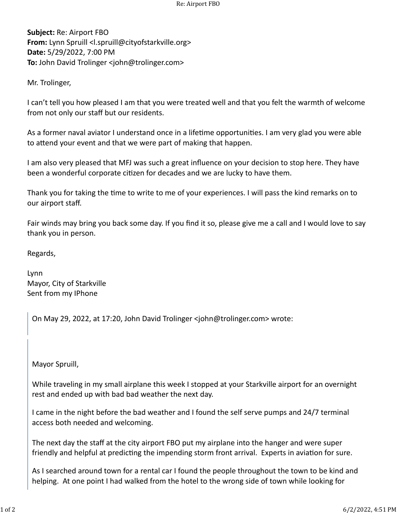**Subject:** Re: Airport FBO **From:** Lynn Spruill <l.spruill@cityofstarkville.org> **Date:** 5/29/2022, 7:00 PM **To:** John David Trolinger <john@trolinger.com>

Mr. Trolinger,

I can't tell you how pleased I am that you were treated well and that you felt the warmth of welcome from not only our staff but our residents.

As a former naval aviator I understand once in a lifetime opportunities. I am very glad you were able to attend your event and that we were part of making that happen.

I am also very pleased that MFJ was such a great influence on your decision to stop here. They have been a wonderful corporate citizen for decades and we are lucky to have them.

Thank you for taking the time to write to me of your experiences. I will pass the kind remarks on to our airport staff.

Fair winds may bring you back some day. If you find it so, please give me a call and I would love to say thank you in person.

Regards,

Lynn Mayor, City of Starkville Sent from my IPhone

On May 29, 2022, at 17:20, John David Trolinger <john@trolinger.com> wrote:

Mayor Spruill,

While traveling in my small airplane this week I stopped at your Starkville airport for an overnight rest and ended up with bad bad weather the next day.

I came in the night before the bad weather and I found the self serve pumps and 24/7 terminal access both needed and welcoming.

The next day the staff at the city airport FBO put my airplane into the hanger and were super friendly and helpful at predicting the impending storm front arrival. Experts in aviation for sure.

As I searched around town for a rental car I found the people throughout the town to be kind and helping. At one point I had walked from the hotel to the wrong side of town while looking for